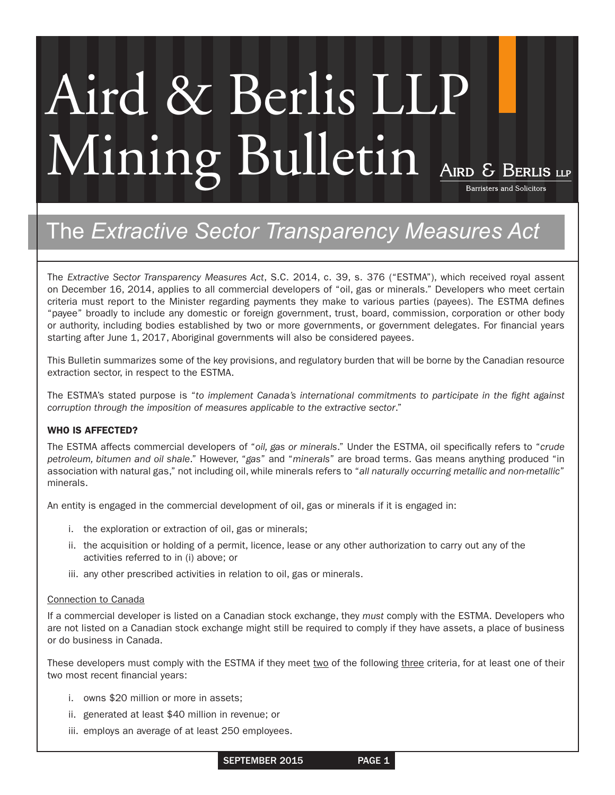# Aird & Berlis LLP Mining Bulletin AIRD & BERLIS LIP

## The *Extractive Sector Transparency Measures Act*

The *Extractive Sector Transparency Measures Act*, S.C. 2014, c. 39, s. 376 ("ESTMA"), which received royal assent on December 16, 2014, applies to all commercial developers of "oil, gas or minerals." Developers who meet certain criteria must report to the Minister regarding payments they make to various parties (payees). The ESTMA defines "payee" broadly to include any domestic or foreign government, trust, board, commission, corporation or other body or authority, including bodies established by two or more governments, or government delegates. For financial years starting after June 1, 2017, Aboriginal governments will also be considered payees.

This Bulletin summarizes some of the key provisions, and regulatory burden that will be borne by the Canadian resource extraction sector, in respect to the ESTMA.

The ESTMA's stated purpose is "*to implement Canada's international commitments to participate in the fight against corruption through the imposition of measures applicable to the extractive sector*."

#### WHO IS AFFECTED?

The ESTMA affects commercial developers of "*oil, gas or minerals*." Under the ESTMA, oil specifically refers to "*crude petroleum, bitumen and oil shale*." However, "*gas*" and "*minerals*" are broad terms. Gas means anything produced "in association with natural gas," not including oil, while minerals refers to "*all naturally occurring metallic and non-metallic*" minerals.

An entity is engaged in the commercial development of oil, gas or minerals if it is engaged in:

- i. the exploration or extraction of oil, gas or minerals;
- ii. the acquisition or holding of a permit, licence, lease or any other authorization to carry out any of the activities referred to in (i) above; or
- iii. any other prescribed activities in relation to oil, gas or minerals.

#### Connection to Canada

If a commercial developer is listed on a Canadian stock exchange, they *must* comply with the ESTMA. Developers who are not listed on a Canadian stock exchange might still be required to comply if they have assets, a place of business or do business in Canada.

These developers must comply with the ESTMA if they meet two of the following three criteria, for at least one of their two most recent financial years:

- i. owns \$20 million or more in assets;
- ii. generated at least \$40 million in revenue; or
- iii. employs an average of at least 250 employees.